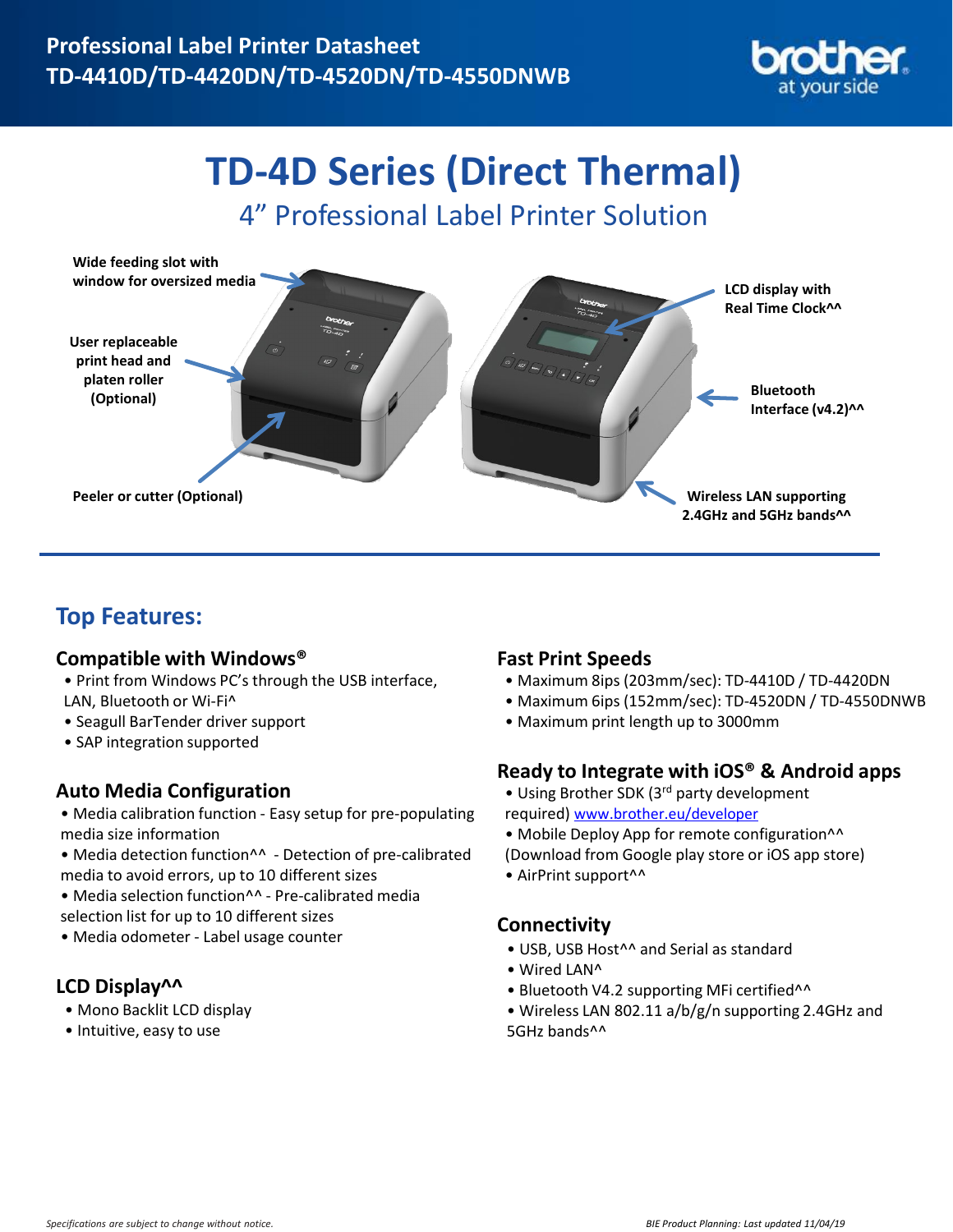

# **TD-4D Series (Direct Thermal)**

4" Professional Label Printer Solution



# **Top Features:**

### **Compatible with Windows®**

- Print from Windows PC's through the USB interface, LAN, Bluetooth or Wi-Fi^
- Seagull BarTender driver support
- SAP integration supported

## **Auto Media Configuration**

- Media calibration function Easy setup for pre-populating media size information
- Media detection function^^ Detection of pre-calibrated media to avoid errors, up to 10 different sizes
- Media selection function^^ Pre-calibrated media selection list for up to 10 different sizes
- Media odometer Label usage counter

## **LCD Display^^**

- Mono Backlit LCD display
- Intuitive, easy to use

### **Fast Print Speeds**

- Maximum 8ips (203mm/sec): TD-4410D / TD-4420DN
- Maximum 6ips (152mm/sec): TD-4520DN / TD-4550DNWB
- Maximum print length up to 3000mm

#### **Ready to Integrate with iOS® & Android apps**

- Using Brother SDK (3<sup>rd</sup> party development required) [www.brother.eu/developer](http://www.brother.eu/developer)
- Mobile Deploy App for remote configuration^^
- (Download from Google play store or iOS app store)
- AirPrint support^^

#### **Connectivity**

- USB, USB Host^^ and Serial as standard
- Wired LAN^
- Bluetooth V4.2 supporting MFi certified^^
- Wireless LAN 802.11 a/b/g/n supporting 2.4GHz and 5GHz bands^^